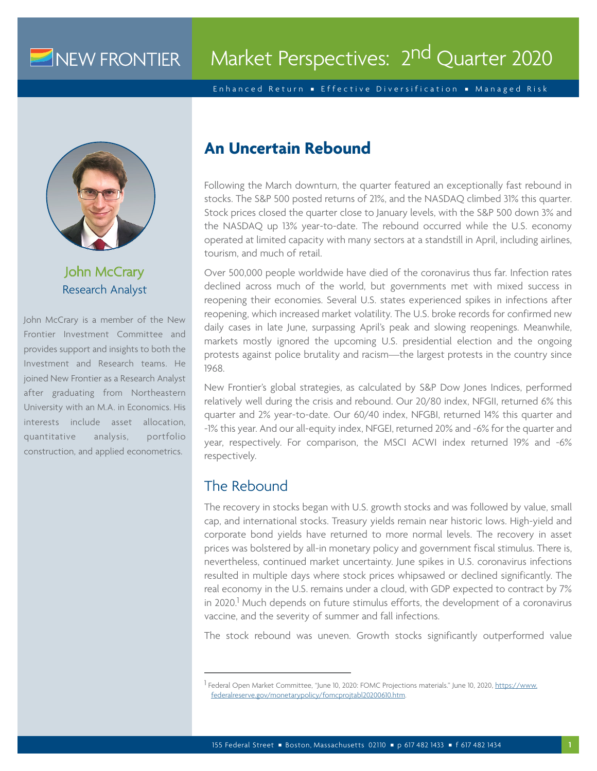## NEW FRONTIER

# Market Perspectives: 2<sup>nd</sup> Quarter 2020

Enhanced Return Effective Diversification Managed Risk



John McCrary Research Analyst

John McCrary is a member of the New Frontier Investment Committee and provides support and insights to both the Investment and Research teams. He joined New Frontier as a Research Analyst after graduating from Northeastern University with an M.A. in Economics. His interests include asset allocation, quantitative analysis, portfolio construction, and applied econometrics.

## **An Uncertain Rebound**

Following the March downturn, the quarter featured an exceptionally fast rebound in stocks. The S&P 500 posted returns of 21%, and the NASDAQ climbed 31% this quarter. Stock prices closed the quarter close to January levels, with the S&P 500 down 3% and the NASDAQ up 13% year-to-date. The rebound occurred while the U.S. economy operated at limited capacity with many sectors at a standstill in April, including airlines, tourism, and much of retail.

Over 500,000 people worldwide have died of the coronavirus thus far. Infection rates declined across much of the world, but governments met with mixed success in reopening their economies. Several U.S. states experienced spikes in infections after reopening, which increased market volatility. The U.S. broke records for confirmed new daily cases in late June, surpassing April's peak and slowing reopenings. Meanwhile, markets mostly ignored the upcoming U.S. presidential election and the ongoing protests against police brutality and racism—the largest protests in the country since 1968.

New Frontier's global strategies, as calculated by S&P Dow Jones Indices, performed relatively well during the crisis and rebound. Our 20/80 index, NFGII, returned 6% this quarter and 2% year-to-date. Our 60/40 index, NFGBI, returned 14% this quarter and -1% this year. And our all-equity index, NFGEI, returned 20% and -6% for the quarter and year, respectively. For comparison, the MSCI ACWI index returned 19% and -6% respectively.

## The Rebound

The recovery in stocks began with U.S. growth stocks and was followed by value, small cap, and international stocks. Treasury yields remain near historic lows. High-yield and corporate bond yields have returned to more normal levels. The recovery in asset prices was bolstered by all-in monetary policy and government fiscal stimulus. There is, nevertheless, continued market uncertainty. June spikes in U.S. coronavirus infections resulted in multiple days where stock prices whipsawed or declined significantly. The real economy in the U.S. remains under a cloud, with GDP expected to contract by 7% in 2020.<sup>1</sup> Much depends on future stimulus efforts, the development of a coronavirus vaccine, and the severity of summer and fall infections.

The stock rebound was uneven. Growth stocks significantly outperformed value

<sup>&</sup>lt;sup>1</sup> Federal Open Market Committee, "June 10, 2020: FOMC Projections materials." June 10, 2020, <u>[https://www.](https://www.federalreserve.gov/monetarypolicy/fomcprojtabl20200610.htm)</u> [federalreserve.gov/monetarypolicy/fomcprojtabl20200610.htm.](https://www.federalreserve.gov/monetarypolicy/fomcprojtabl20200610.htm)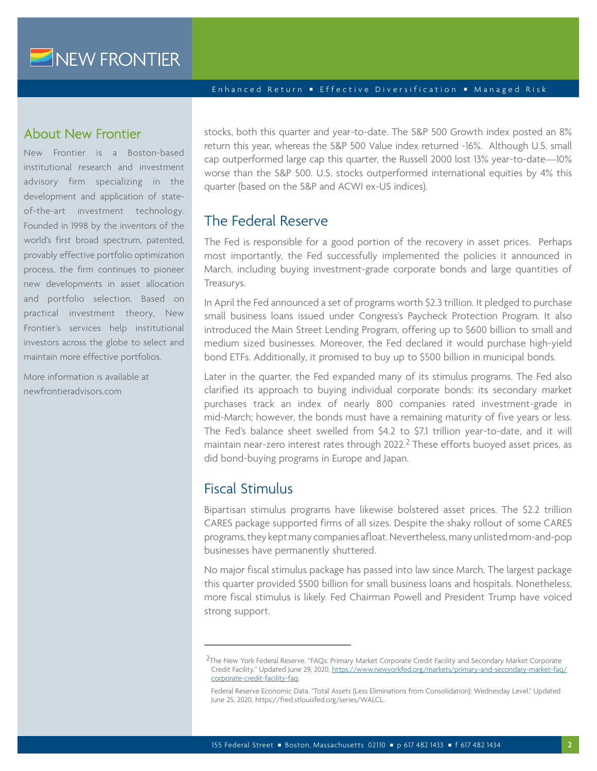NEW FRONTIER

#### Enhanced Return Effective Diversification Managed Risk

#### About New Frontier

New Frontier is a Boston-based institutional research and investment advisory firm specializing in the development and application of stateof-the-art investment technology. Founded in 1998 by the inventors of the world's first broad spectrum, patented, provably effective portfolio optimization process, the firm continues to pioneer new developments in asset allocation and portfolio selection. Based on practical investment theory, New Frontier's services help institutional investors across the globe to select and maintain more effective portfolios.

More information is available at newfrontieradvisors.com

stocks, both this quarter and year-to-date. The S&P 500 Growth index posted an 8% return this year, whereas the S&P 500 Value index returned -16%. Although U.S. small cap outperformed large cap this quarter, the Russell 2000 lost 13% year-to-date—10% worse than the S&P 500. U.S. stocks outperformed international equities by 4% this quarter (based on the S&P and ACWI ex-US indices).

## The Federal Reserve

The Fed is responsible for a good portion of the recovery in asset prices. Perhaps most importantly, the Fed successfully implemented the policies it announced in March, including buying investment-grade corporate bonds and large quantities of Treasurys.

In April the Fed announced a set of programs worth \$2.3 trillion. It pledged to purchase small business loans issued under Congress's Paycheck Protection Program. It also introduced the Main Street Lending Program, offering up to \$600 billion to small and medium sized businesses. Moreover, the Fed declared it would purchase high-yield bond ETFs. Additionally, it promised to buy up to \$500 billion in municipal bonds.

Later in the quarter, the Fed expanded many of its stimulus programs. The Fed also clarified its approach to buying individual corporate bonds: its secondary market purchases track an index of nearly 800 companies rated investment-grade in mid-March; however, the bonds must have a remaining maturity of five years or less. The Fed's balance sheet swelled from \$4.2 to \$7.1 trillion year-to-date, and it will maintain near-zero interest rates through 2022.<sup>2</sup> These efforts buoyed asset prices, as did bond-buying programs in Europe and Japan.

#### Fiscal Stimulus

Bipartisan stimulus programs have likewise bolstered asset prices. The \$2.2 trillion CARES package supported firms of all sizes. Despite the shaky rollout of some CARES programs, they kept many companies afloat. Nevertheless, many unlisted mom-and-pop businesses have permanently shuttered.

No major fiscal stimulus package has passed into law since March. The largest package this quarter provided \$500 billion for small business loans and hospitals. Nonetheless, more fiscal stimulus is likely. Fed Chairman Powell and President Trump have voiced strong support.

<sup>&</sup>lt;sup>2</sup>The New York Federal Reserve. "FAQs: Primary Market Corporate Credit Facility and Secondary Market Corporate Credit Facility." Updated June 29, 2020, [https://www.newyorkfed.org/markets/primary-and-secondary-market-faq/](https://www.newyorkfed.org/markets/primary-and-secondary-market-faq/corporate-credit-facility-faq) [corporate-credit-facility-faq.](https://www.newyorkfed.org/markets/primary-and-secondary-market-faq/corporate-credit-facility-faq)

Federal Reserve Economic Data. "Total Assets (Less Eliminations from Consolidation): Wednesday Level." Updated June 25, 2020, https://fred.stlouisfed.org/series/WALCL.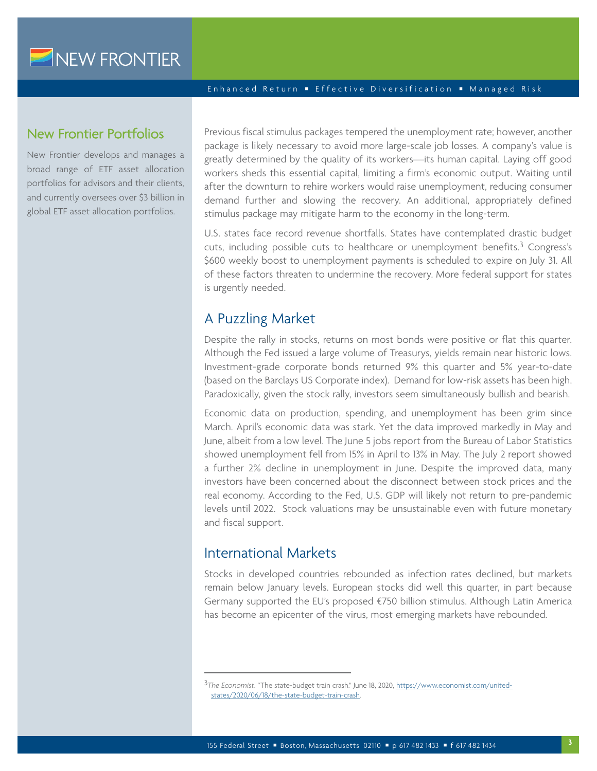#### New Frontier Portfolios

New Frontier develops and manages a broad range of ETF asset allocation portfolios for advisors and their clients, and currently oversees over \$3 billion in global ETF asset allocation portfolios.

Previous fiscal stimulus packages tempered the unemployment rate; however, another package is likely necessary to avoid more large-scale job losses. A company's value is greatly determined by the quality of its workers—its human capital. Laying off good workers sheds this essential capital, limiting a firm's economic output. Waiting until after the downturn to rehire workers would raise unemployment, reducing consumer demand further and slowing the recovery. An additional, appropriately defined stimulus package may mitigate harm to the economy in the long-term.

U.S. states face record revenue shortfalls. States have contemplated drastic budget cuts, including possible cuts to healthcare or unemployment benefits.3 Congress's \$600 weekly boost to unemployment payments is scheduled to expire on July 31. All of these factors threaten to undermine the recovery. More federal support for states is urgently needed.

#### A Puzzling Market

Despite the rally in stocks, returns on most bonds were positive or flat this quarter. Although the Fed issued a large volume of Treasurys, yields remain near historic lows. Investment-grade corporate bonds returned 9% this quarter and 5% year-to-date (based on the Barclays US Corporate index). Demand for low-risk assets has been high. Paradoxically, given the stock rally, investors seem simultaneously bullish and bearish.

Economic data on production, spending, and unemployment has been grim since March. April's economic data was stark. Yet the data improved markedly in May and June, albeit from a low level. The June 5 jobs report from the Bureau of Labor Statistics showed unemployment fell from 15% in April to 13% in May. The July 2 report showed a further 2% decline in unemployment in June. Despite the improved data, many investors have been concerned about the disconnect between stock prices and the real economy. According to the Fed, U.S. GDP will likely not return to pre-pandemic levels until 2022. Stock valuations may be unsustainable even with future monetary and fiscal support.

#### International Markets

Stocks in developed countries rebounded as infection rates declined, but markets remain below January levels. European stocks did well this quarter, in part because Germany supported the EU's proposed €750 billion stimulus. Although Latin America has become an epicenter of the virus, most emerging markets have rebounded.

<sup>3</sup>*The Economist*. "The state-budget train crash." June 18, 2020, [https://www.economist.com/united](https://www.economist.com/united-states/2020/06/18/the-state-budget-train-crash)[states/2020/06/18/the-state-budget-train-crash](https://www.economist.com/united-states/2020/06/18/the-state-budget-train-crash).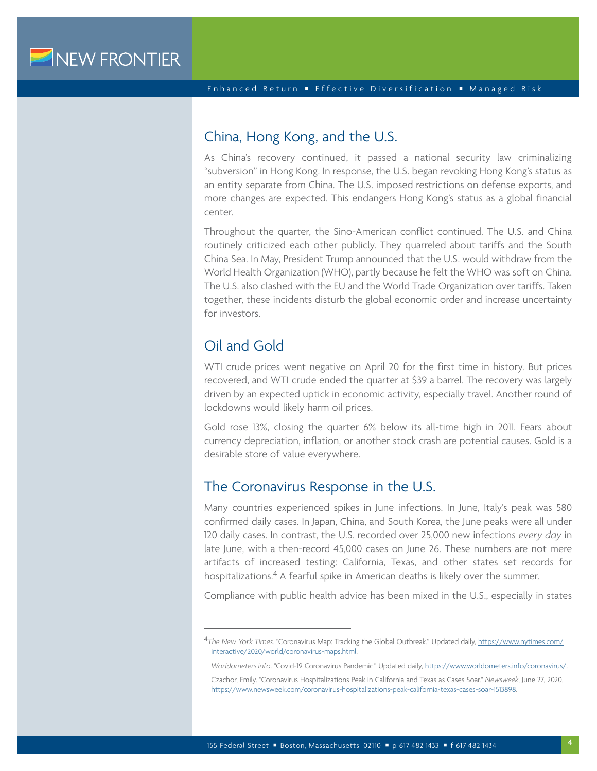#### China, Hong Kong, and the U.S.

As China's recovery continued, it passed a national security law criminalizing "subversion" in Hong Kong. In response, the U.S. began revoking Hong Kong's status as an entity separate from China. The U.S. imposed restrictions on defense exports, and more changes are expected. This endangers Hong Kong's status as a global financial center.

Throughout the quarter, the Sino-American conflict continued. The U.S. and China routinely criticized each other publicly. They quarreled about tariffs and the South China Sea. In May, President Trump announced that the U.S. would withdraw from the World Health Organization (WHO), partly because he felt the WHO was soft on China. The U.S. also clashed with the EU and the World Trade Organization over tariffs. Taken together, these incidents disturb the global economic order and increase uncertainty for investors.

## Oil and Gold

WTI crude prices went negative on April 20 for the first time in history. But prices recovered, and WTI crude ended the quarter at \$39 a barrel. The recovery was largely driven by an expected uptick in economic activity, especially travel. Another round of lockdowns would likely harm oil prices.

Gold rose 13%, closing the quarter 6% below its all-time high in 2011. Fears about currency depreciation, inflation, or another stock crash are potential causes. Gold is a desirable store of value everywhere.

#### The Coronavirus Response in the U.S.

Many countries experienced spikes in June infections. In June, Italy's peak was 580 confirmed daily cases. In Japan, China, and South Korea, the June peaks were all under 120 daily cases. In contrast, the U.S. recorded over 25,000 new infections *every day* in late June, with a then-record 45,000 cases on June 26. These numbers are not mere artifacts of increased testing: California, Texas, and other states set records for hospitalizations.4 A fearful spike in American deaths is likely over the summer.

Compliance with public health advice has been mixed in the U.S., especially in states

<sup>4</sup>*The New York Times.* "Coronavirus Map: Tracking the Global Outbreak." Updated daily, [https://www.nytimes.com/](https://www.nytimes.com/interactive/2020/world/coronavirus-maps.html) [interactive/2020/world/coronavirus-maps.html.](https://www.nytimes.com/interactive/2020/world/coronavirus-maps.html)

*Worldometers.info*. "Covid-19 Coronavirus Pandemic." Updated daily, <https://www.worldometers.info/coronavirus/>.

Czachor, Emily. "Coronavirus Hospitalizations Peak in California and Texas as Cases Soar." *Newsweek*, June 27, 2020, <https://www.newsweek.com/coronavirus-hospitalizations-peak-california-texas-cases-soar-1513898>.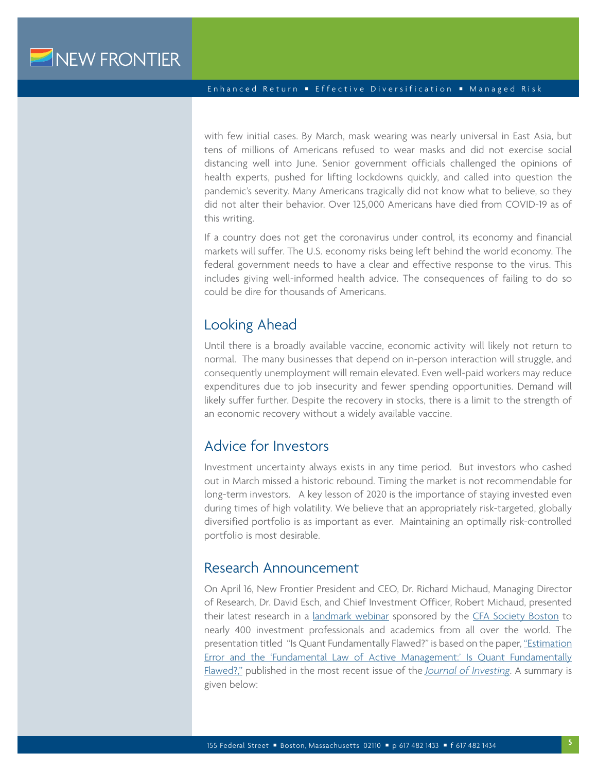with few initial cases. By March, mask wearing was nearly universal in East Asia, but tens of millions of Americans refused to wear masks and did not exercise social distancing well into June. Senior government officials challenged the opinions of health experts, pushed for lifting lockdowns quickly, and called into question the pandemic's severity. Many Americans tragically did not know what to believe, so they did not alter their behavior. Over 125,000 Americans have died from COVID-19 as of this writing.

If a country does not get the coronavirus under control, its economy and financial markets will suffer. The U.S. economy risks being left behind the world economy. The federal government needs to have a clear and effective response to the virus. This includes giving well-informed health advice. The consequences of failing to do so could be dire for thousands of Americans.

#### Looking Ahead

Until there is a broadly available vaccine, economic activity will likely not return to normal. The many businesses that depend on in-person interaction will struggle, and consequently unemployment will remain elevated. Even well-paid workers may reduce expenditures due to job insecurity and fewer spending opportunities. Demand will likely suffer further. Despite the recovery in stocks, there is a limit to the strength of an economic recovery without a widely available vaccine.

### Advice for Investors

Investment uncertainty always exists in any time period. But investors who cashed out in March missed a historic rebound. Timing the market is not recommendable for long-term investors. A key lesson of 2020 is the importance of staying invested even during times of high volatility. We believe that an appropriately risk-targeted, globally diversified portfolio is as important as ever. Maintaining an optimally risk-controlled portfolio is most desirable.

#### Research Announcement

On April 16, New Frontier President and CEO, Dr. Richard Michaud, Managing Director of Research, Dr. David Esch, and Chief Investment Officer, Robert Michaud, presented their latest research in a [landmark webinar](https://www.youtube.com/watch?v=SlzZr_D-HoU) sponsored by the [CFA Society Boston](https://www.cfaboston.org/store/events/registration.aspx?event=041620&expand=TRUE) to nearly 400 investment professionals and academics from all over the world. The presentation titled "Is Quant Fundamentally Flawed?" is based on the paper, ["Estimation](https://www.newfrontieradvisors.com/media/1798/fundamental-law-march-2020.pdf)  [Error and the 'Fundamental Law of Active Management:' Is Quant Fundamentally](https://www.newfrontieradvisors.com/media/1798/fundamental-law-march-2020.pdf)  [Flawed?,"](https://www.newfrontieradvisors.com/media/1798/fundamental-law-march-2020.pdf) published in the most recent issue of the *[Journal of Investing](https://eprints.pm-research.com/17511/34898/index.html?45419)*. A summary is given below: